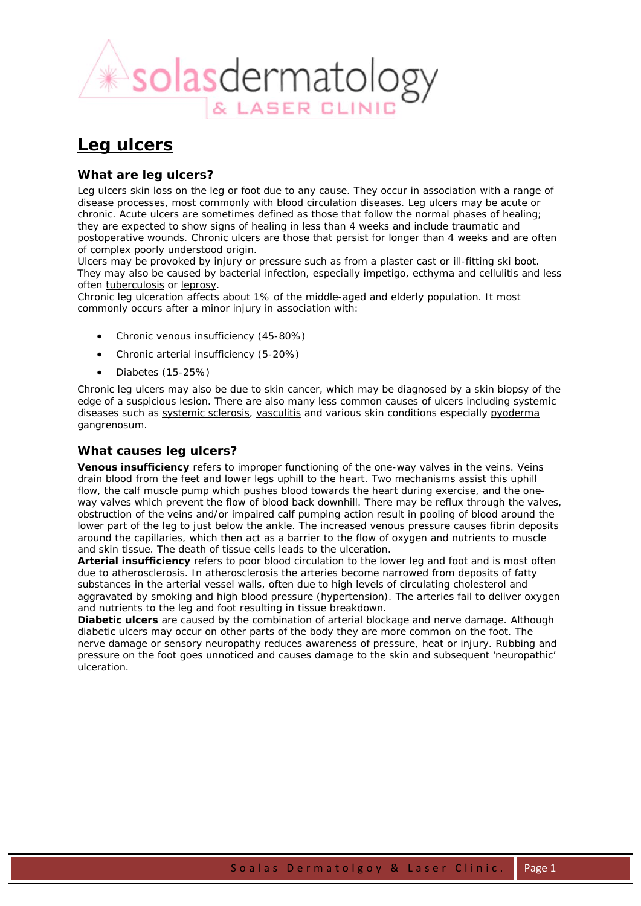

# **Leg ulcers**

# *What are leg ulcers?*

Leg ulcers skin loss on the leg or foot due to any cause. They occur in association with a range of disease processes, most commonly with blood circulation diseases. Leg ulcers may be acute or chronic. Acute ulcers are sometimes defined as those that follow the normal phases of healing; they are expected to show signs of healing in less than 4 weeks and include traumatic and postoperative wounds. Chronic ulcers are those that persist for longer than 4 weeks and are often of complex poorly understood origin.

Ulcers may be provoked by injury or pressure such as from a plaster cast or ill-fitting ski boot. They may also be caused by bacterial infection, especially impetigo, ecthyma and cellulitis and less often tuberculosis or leprosy.

Chronic leg ulceration affects about 1% of the middle-aged and elderly population. It most commonly occurs after a minor injury in association with:

- Chronic venous insufficiency (45-80%)
- Chronic arterial insufficiency (5-20%)
- Diabetes (15-25%)

Chronic leg ulcers may also be due to skin cancer, which may be diagnosed by a skin biopsy of the edge of a suspicious lesion. There are also many less common causes of ulcers including systemic diseases such as systemic sclerosis, vasculitis and various skin conditions especially pyoderma gangrenosum.

# *What causes leg ulcers?*

**Venous insufficiency** refers to improper functioning of the one-way valves in the veins. Veins drain blood from the feet and lower legs uphill to the heart. Two mechanisms assist this uphill flow, the calf muscle pump which pushes blood towards the heart during exercise, and the oneway valves which prevent the flow of blood back downhill. There may be reflux through the valves, obstruction of the veins and/or impaired calf pumping action result in pooling of blood around the lower part of the leg to just below the ankle. The increased venous pressure causes fibrin deposits around the capillaries, which then act as a barrier to the flow of oxygen and nutrients to muscle and skin tissue. The death of tissue cells leads to the ulceration.

**Arterial insufficiency** refers to poor blood circulation to the lower leg and foot and is most often due to atherosclerosis. In atherosclerosis the arteries become narrowed from deposits of fatty substances in the arterial vessel walls, often due to high levels of circulating cholesterol and aggravated by smoking and high blood pressure (hypertension). The arteries fail to deliver oxygen and nutrients to the leg and foot resulting in tissue breakdown.

**Diabetic ulcers** are caused by the combination of arterial blockage and nerve damage. Although diabetic ulcers may occur on other parts of the body they are more common on the foot. The nerve damage or sensory neuropathy reduces awareness of pressure, heat or injury. Rubbing and pressure on the foot goes unnoticed and causes damage to the skin and subsequent 'neuropathic' ulceration.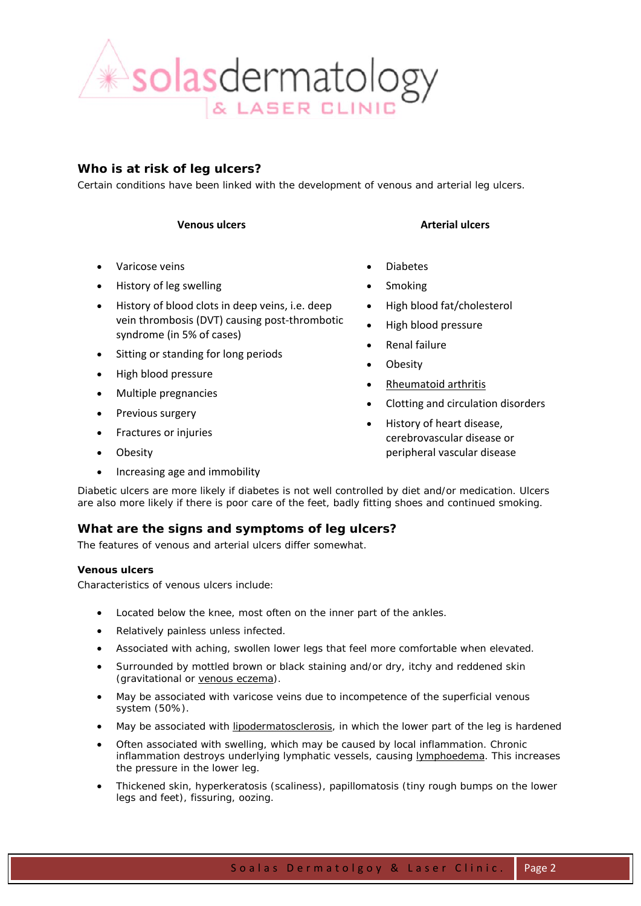

# *Who is at risk of leg ulcers?*

Certain conditions have been linked with the development of venous and arterial leg ulcers.

- Varicose veins
- History of leg swelling
- History of blood clots in deep veins, i.e. deep vein thrombosis (DVT) causing post‐thrombotic syndrome (in 5% of cases)
- Sitting or standing for long periods
- High blood pressure
- Multiple pregnancies
- Previous surgery
- Fractures or injuries
- Obesity
- Increasing age and immobility

# **Venous ulcers Arterial ulcers**

- Diabetes
- **Smoking**
- High blood fat/cholesterol
- High blood pressure
- Renal failure
- **Obesity**
- Rheumatoid arthritis
- Clotting and circulation disorders
- History of heart disease, cerebrovascular disease or peripheral vascular disease

Diabetic ulcers are more likely if diabetes is not well controlled by diet and/or medication. Ulcers are also more likely if there is poor care of the feet, badly fitting shoes and continued smoking.

# *What are the signs and symptoms of leg ulcers?*

The features of venous and arterial ulcers differ somewhat.

### **Venous ulcers**

Characteristics of venous ulcers include:

- Located below the knee, most often on the inner part of the ankles.
- Relatively painless unless infected.
- Associated with aching, swollen lower legs that feel more comfortable when elevated.
- Surrounded by mottled brown or black staining and/or dry, itchy and reddened skin (gravitational or venous eczema).
- May be associated with varicose veins due to incompetence of the superficial venous system (50%).
- May be associated with *lipodermatosclerosis*, in which the lower part of the leg is hardened
- Often associated with swelling, which may be caused by local inflammation. Chronic inflammation destroys underlying lymphatic vessels, causing lymphoedema. This increases the pressure in the lower leg.
- Thickened skin, hyperkeratosis (scaliness), papillomatosis (tiny rough bumps on the lower legs and feet), fissuring, oozing.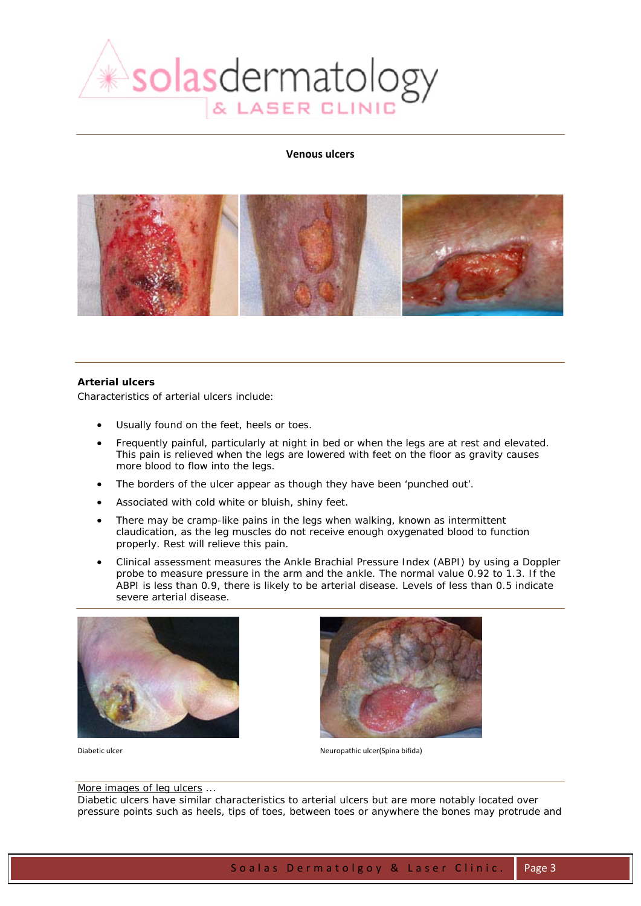

#### **Venous ulcers**



#### **Arterial ulcers**

Characteristics of arterial ulcers include:

- Usually found on the feet, heels or toes.
- Frequently painful, particularly at night in bed or when the legs are at rest and elevated. This pain is relieved when the legs are lowered with feet on the floor as gravity causes more blood to flow into the legs.
- The borders of the ulcer appear as though they have been 'punched out'.
- Associated with cold white or bluish, shiny feet.
- There may be cramp-like pains in the legs when walking, known as intermittent claudication, as the leg muscles do not receive enough oxygenated blood to function properly. Rest will relieve this pain.
- Clinical assessment measures the Ankle Brachial Pressure Index (ABPI) by using a Doppler probe to measure pressure in the arm and the ankle. The normal value 0.92 to 1.3. If the ABPI is less than 0.9, there is likely to be arterial disease. Levels of less than 0.5 indicate severe arterial disease.





Diabetic ulcer Neuropathic ulcer(Spina bifida)

#### More images of leg ulcers ...

Diabetic ulcers have similar characteristics to arterial ulcers but are more notably located over pressure points such as heels, tips of toes, between toes or anywhere the bones may protrude and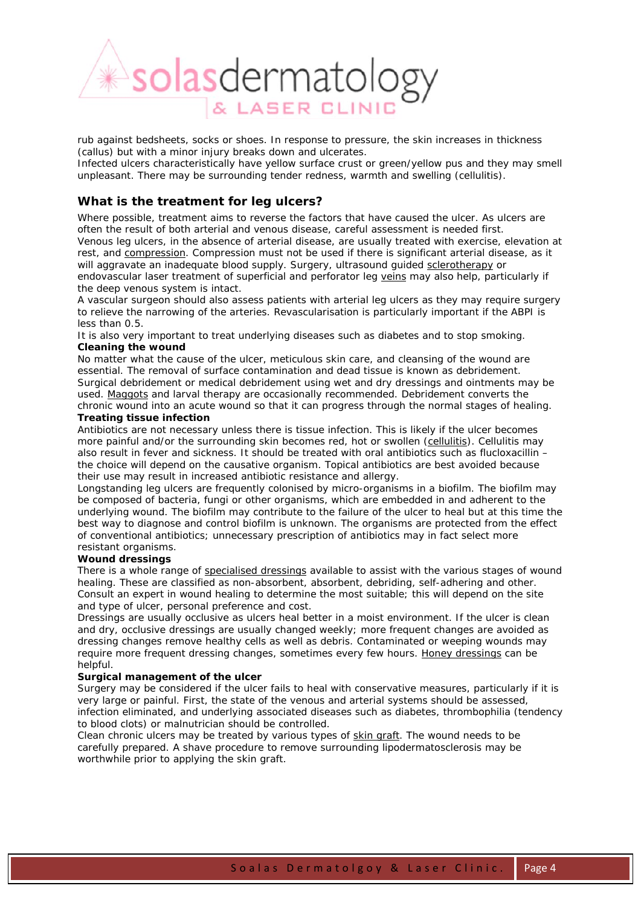

rub against bedsheets, socks or shoes. In response to pressure, the skin increases in thickness (callus) but with a minor injury breaks down and ulcerates.

Infected ulcers characteristically have yellow surface crust or green/yellow pus and they may smell unpleasant. There may be surrounding tender redness, warmth and swelling (cellulitis).

# *What is the treatment for leg ulcers?*

Where possible, treatment aims to reverse the factors that have caused the ulcer. As ulcers are often the result of both arterial and venous disease, careful assessment is needed first. Venous leg ulcers, in the absence of arterial disease, are usually treated with exercise, elevation at rest, and compression. Compression must not be used if there is significant arterial disease, as it will aggravate an inadequate blood supply. Surgery, ultrasound guided sclerotherapy or endovascular laser treatment of superficial and perforator leg veins may also help, particularly if the deep venous system is intact.

A vascular surgeon should also assess patients with arterial leg ulcers as they may require surgery to relieve the narrowing of the arteries. Revascularisation is particularly important if the ABPI is less than 0.5.

It is also very important to treat underlying diseases such as diabetes and to stop smoking. **Cleaning the wound**

No matter what the cause of the ulcer, meticulous skin care, and cleansing of the wound are essential. The removal of surface contamination and dead tissue is known as debridement. Surgical debridement or medical debridement using wet and dry dressings and ointments may be used. Maggots and larval therapy are occasionally recommended. Debridement converts the chronic wound into an acute wound so that it can progress through the normal stages of healing. **Treating tissue infection**

Antibiotics are not necessary unless there is tissue infection. This is likely if the ulcer becomes more painful and/or the surrounding skin becomes red, hot or swollen (cellulitis). Cellulitis may also result in fever and sickness. It should be treated with oral antibiotics such as flucloxacillin – the choice will depend on the causative organism. Topical antibiotics are best avoided because their use may result in increased antibiotic resistance and allergy.

Longstanding leg ulcers are frequently colonised by micro-organisms in a biofilm. The biofilm may be composed of bacteria, fungi or other organisms, which are embedded in and adherent to the underlying wound. The biofilm may contribute to the failure of the ulcer to heal but at this time the best way to diagnose and control biofilm is unknown. The organisms are protected from the effect of conventional antibiotics; unnecessary prescription of antibiotics may in fact select more resistant organisms.

#### **Wound dressings**

There is a whole range of specialised dressings available to assist with the various stages of wound healing. These are classified as non-absorbent, absorbent, debriding, self-adhering and other. Consult an expert in wound healing to determine the most suitable; this will depend on the site and type of ulcer, personal preference and cost.

Dressings are usually occlusive as ulcers heal better in a moist environment. If the ulcer is clean and dry, occlusive dressings are usually changed weekly; more frequent changes are avoided as dressing changes remove healthy cells as well as debris. Contaminated or weeping wounds may require more frequent dressing changes, sometimes every few hours. Honey dressings can be helpful.

#### **Surgical management of the ulcer**

Surgery may be considered if the ulcer fails to heal with conservative measures, particularly if it is very large or painful. First, the state of the venous and arterial systems should be assessed, infection eliminated, and underlying associated diseases such as diabetes, thrombophilia (tendency to blood clots) or malnutrician should be controlled.

Clean chronic ulcers may be treated by various types of skin graft. The wound needs to be carefully prepared. A shave procedure to remove surrounding lipodermatosclerosis may be worthwhile prior to applying the skin graft.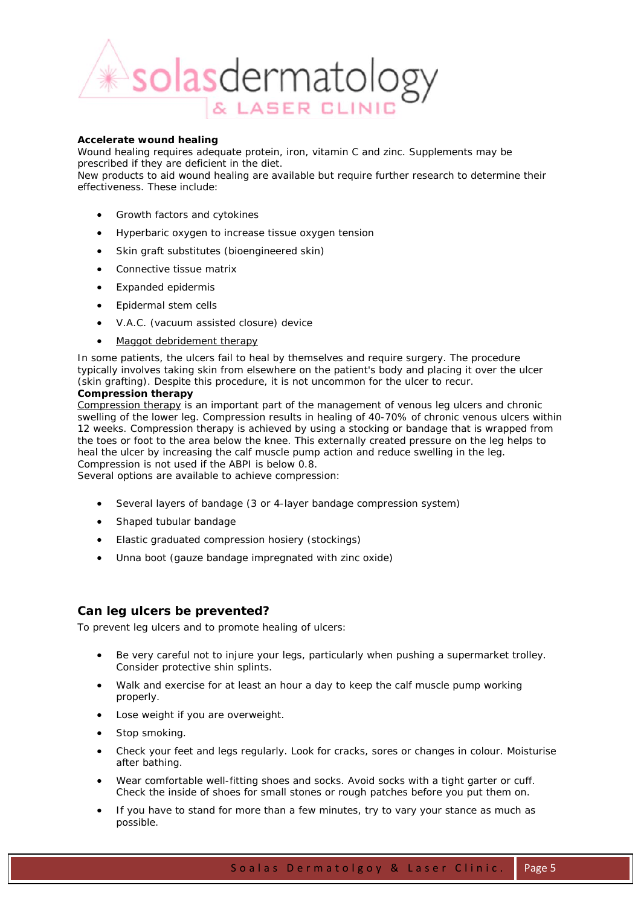

#### **Accelerate wound healing**

Wound healing requires adequate protein, iron, vitamin C and zinc. Supplements may be prescribed if they are deficient in the diet.

New products to aid wound healing are available but require further research to determine their effectiveness. These include:

- Growth factors and cytokines
- Hyperbaric oxygen to increase tissue oxygen tension
- Skin graft substitutes (bioengineered skin)
- Connective tissue matrix
- Expanded epidermis
- Epidermal stem cells
- V.A.C. (vacuum assisted closure) device
- Maggot debridement therapy

In some patients, the ulcers fail to heal by themselves and require surgery. The procedure typically involves taking skin from elsewhere on the patient's body and placing it over the ulcer (skin grafting). Despite this procedure, it is not uncommon for the ulcer to recur.

### **Compression therapy**

Compression therapy is an important part of the management of venous leg ulcers and chronic swelling of the lower leg. Compression results in healing of 40-70% of chronic venous ulcers within 12 weeks. Compression therapy is achieved by using a stocking or bandage that is wrapped from the toes or foot to the area below the knee. This externally created pressure on the leg helps to heal the ulcer by increasing the calf muscle pump action and reduce swelling in the leg. Compression is not used if the ABPI is below 0.8.

Several options are available to achieve compression:

- Several layers of bandage (3 or 4-layer bandage compression system)
- Shaped tubular bandage
- Elastic graduated compression hosiery (stockings)
- Unna boot (gauze bandage impregnated with zinc oxide)

# *Can leg ulcers be prevented?*

To prevent leg ulcers and to promote healing of ulcers:

- Be very careful not to injure your legs, particularly when pushing a supermarket trolley. Consider protective shin splints.
- Walk and exercise for at least an hour a day to keep the calf muscle pump working properly.
- Lose weight if you are overweight.
- Stop smoking.
- Check your feet and legs regularly. Look for cracks, sores or changes in colour. Moisturise after bathing.
- Wear comfortable well-fitting shoes and socks. Avoid socks with a tight garter or cuff. Check the inside of shoes for small stones or rough patches before you put them on.
- If you have to stand for more than a few minutes, try to vary your stance as much as possible.